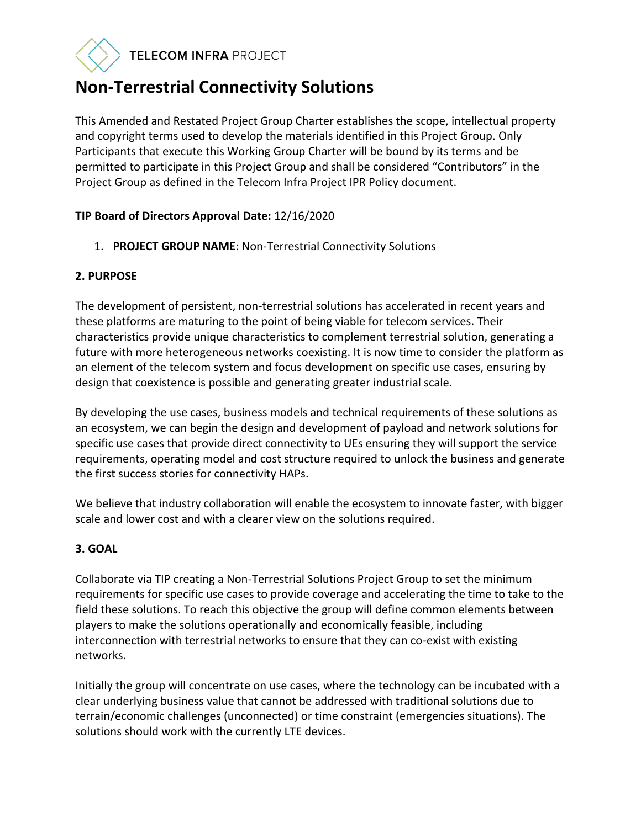# TELECOM INFRA PROJECT

# **Non-Terrestrial Connectivity Solutions**

This Amended and Restated Project Group Charter establishes the scope, intellectual property and copyright terms used to develop the materials identified in this Project Group. Only Participants that execute this Working Group Charter will be bound by its terms and be permitted to participate in this Project Group and shall be considered "Contributors" in the Project Group as defined in the Telecom Infra Project IPR Policy document.

# **TIP Board of Directors Approval Date:** 12/16/2020

1. **PROJECT GROUP NAME**: Non-Terrestrial Connectivity Solutions

# **2. PURPOSE**

The development of persistent, non-terrestrial solutions has accelerated in recent years and these platforms are maturing to the point of being viable for telecom services. Their characteristics provide unique characteristics to complement terrestrial solution, generating a future with more heterogeneous networks coexisting. It is now time to consider the platform as an element of the telecom system and focus development on specific use cases, ensuring by design that coexistence is possible and generating greater industrial scale.

By developing the use cases, business models and technical requirements of these solutions as an ecosystem, we can begin the design and development of payload and network solutions for specific use cases that provide direct connectivity to UEs ensuring they will support the service requirements, operating model and cost structure required to unlock the business and generate the first success stories for connectivity HAPs.

We believe that industry collaboration will enable the ecosystem to innovate faster, with bigger scale and lower cost and with a clearer view on the solutions required.

# **3. GOAL**

Collaborate via TIP creating a Non-Terrestrial Solutions Project Group to set the minimum requirements for specific use cases to provide coverage and accelerating the time to take to the field these solutions. To reach this objective the group will define common elements between players to make the solutions operationally and economically feasible, including interconnection with terrestrial networks to ensure that they can co-exist with existing networks.

Initially the group will concentrate on use cases, where the technology can be incubated with a clear underlying business value that cannot be addressed with traditional solutions due to terrain/economic challenges (unconnected) or time constraint (emergencies situations). The solutions should work with the currently LTE devices.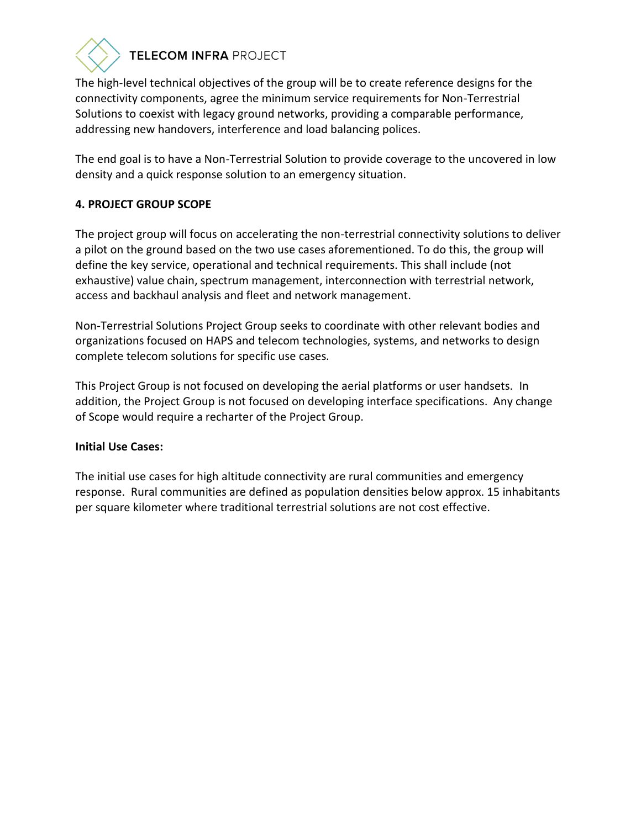

# TELECOM INFRA PROJECT

The high-level technical objectives of the group will be to create reference designs for the connectivity components, agree the minimum service requirements for Non-Terrestrial Solutions to coexist with legacy ground networks, providing a comparable performance, addressing new handovers, interference and load balancing polices.

The end goal is to have a Non-Terrestrial Solution to provide coverage to the uncovered in low density and a quick response solution to an emergency situation.

# **4. PROJECT GROUP SCOPE**

The project group will focus on accelerating the non-terrestrial connectivity solutions to deliver a pilot on the ground based on the two use cases aforementioned. To do this, the group will define the key service, operational and technical requirements. This shall include (not exhaustive) value chain, spectrum management, interconnection with terrestrial network, access and backhaul analysis and fleet and network management.

Non-Terrestrial Solutions Project Group seeks to coordinate with other relevant bodies and organizations focused on HAPS and telecom technologies, systems, and networks to design complete telecom solutions for specific use cases.

This Project Group is not focused on developing the aerial platforms or user handsets. In addition, the Project Group is not focused on developing interface specifications. Any change of Scope would require a recharter of the Project Group.

#### **Initial Use Cases:**

The initial use cases for high altitude connectivity are rural communities and emergency response. Rural communities are defined as population densities below approx. 15 inhabitants per square kilometer where traditional terrestrial solutions are not cost effective.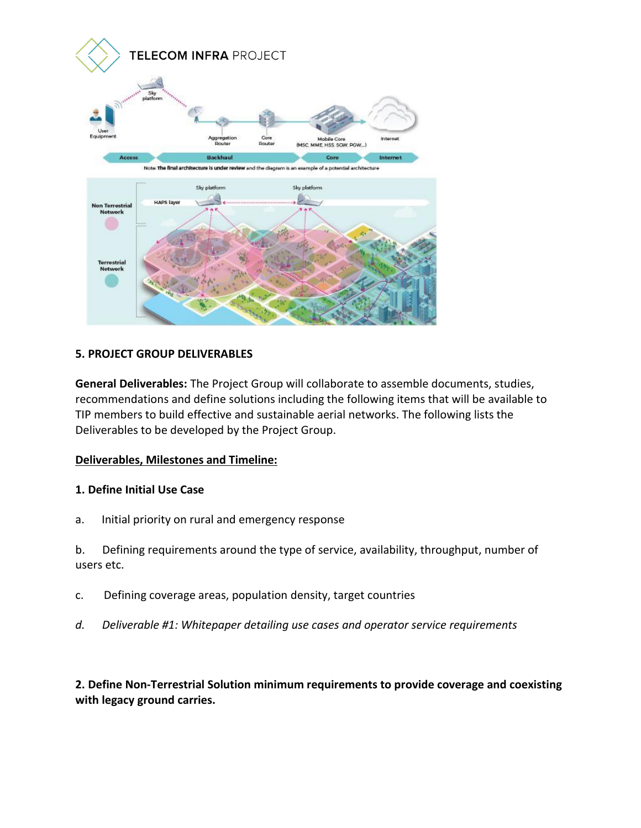

#### **5. PROJECT GROUP DELIVERABLES**

**General Deliverables:** The Project Group will collaborate to assemble documents, studies, recommendations and define solutions including the following items that will be available to TIP members to build effective and sustainable aerial networks. The following lists the Deliverables to be developed by the Project Group.

#### **Deliverables, Milestones and Timeline:**

#### **1. Define Initial Use Case**

a. Initial priority on rural and emergency response

b. Defining requirements around the type of service, availability, throughput, number of users etc.

- c. Defining coverage areas, population density, target countries
- *d. Deliverable #1: Whitepaper detailing use cases and operator service requirements*

**2. Define Non-Terrestrial Solution minimum requirements to provide coverage and coexisting with legacy ground carries.**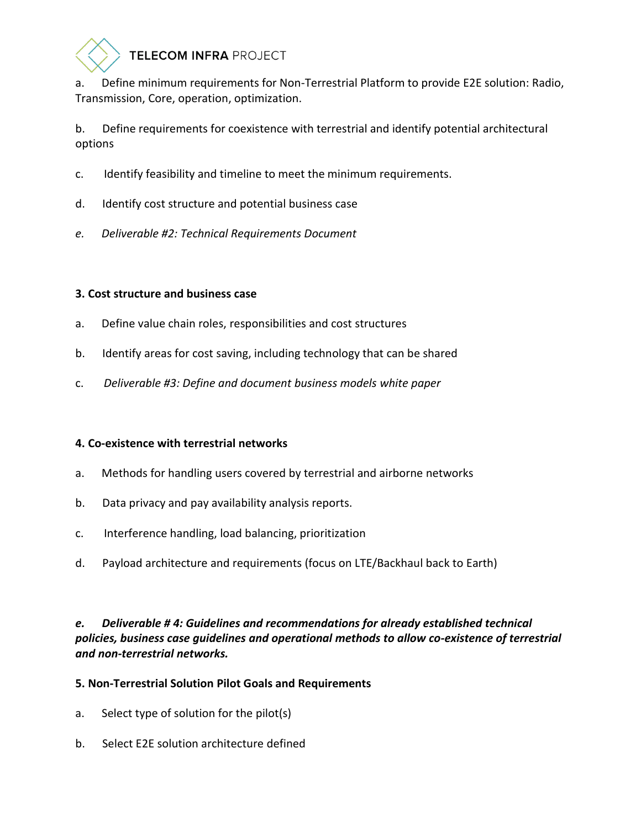

# TELECOM INFRA PROJECT

a. Define minimum requirements for Non-Terrestrial Platform to provide E2E solution: Radio, Transmission, Core, operation, optimization.

b. Define requirements for coexistence with terrestrial and identify potential architectural options

- c. Identify feasibility and timeline to meet the minimum requirements.
- d. Identify cost structure and potential business case
- *e. Deliverable #2: Technical Requirements Document*

# **3. Cost structure and business case**

- a. Define value chain roles, responsibilities and cost structures
- b. Identify areas for cost saving, including technology that can be shared
- c. *Deliverable #3: Define and document business models white paper*

# **4. Co-existence with terrestrial networks**

- a. Methods for handling users covered by terrestrial and airborne networks
- b. Data privacy and pay availability analysis reports.
- c. Interference handling, load balancing, prioritization
- d. Payload architecture and requirements (focus on LTE/Backhaul back to Earth)

# *e. Deliverable # 4: Guidelines and recommendations for already established technical policies, business case guidelines and operational methods to allow co-existence of terrestrial and non-terrestrial networks.*

# **5. Non-Terrestrial Solution Pilot Goals and Requirements**

- a. Select type of solution for the pilot(s)
- b. Select E2E solution architecture defined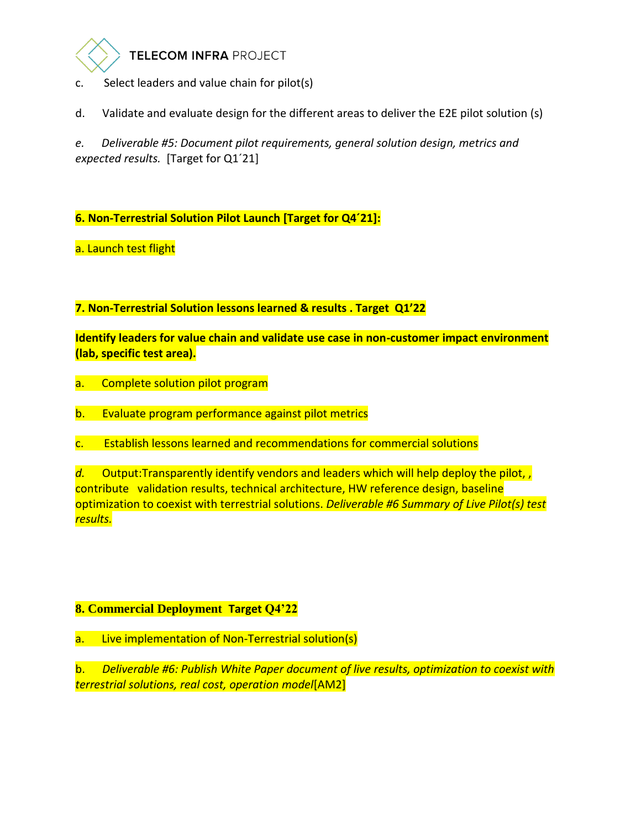

- c. Select leaders and value chain for pilot(s)
- d. Validate and evaluate design for the different areas to deliver the E2E pilot solution (s)

*e. Deliverable #5: Document pilot requirements, general solution design, metrics and expected results.* [Target for Q1´21]

**6. Non-Terrestrial Solution Pilot Launch [Target for Q4´21]:** 

a. Launch test flight

**7. Non-Terrestrial Solution lessons learned & results . Target Q1'22**

**Identify leaders for value chain and validate use case in non-customer impact environment (lab, specific test area).**

- a. Complete solution pilot program
- b. Evaluate program performance against pilot metrics
- c. Establish lessons learned and recommendations for commercial solutions

*d.* Output:Transparently identify vendors and leaders which will help deploy the pilot, , contribute validation results, technical architecture, HW reference design, baseline optimization to coexist with terrestrial solutions. *Deliverable #6 Summary of Live Pilot(s) test results.* 

# **8. Commercial Deployment Target Q4'22**

a. Live implementation of Non-Terrestrial solution(s)

b. *Deliverable #6: Publish White Paper document of live results, optimization to coexist with terrestrial solutions, real cost, operation model*[AM2]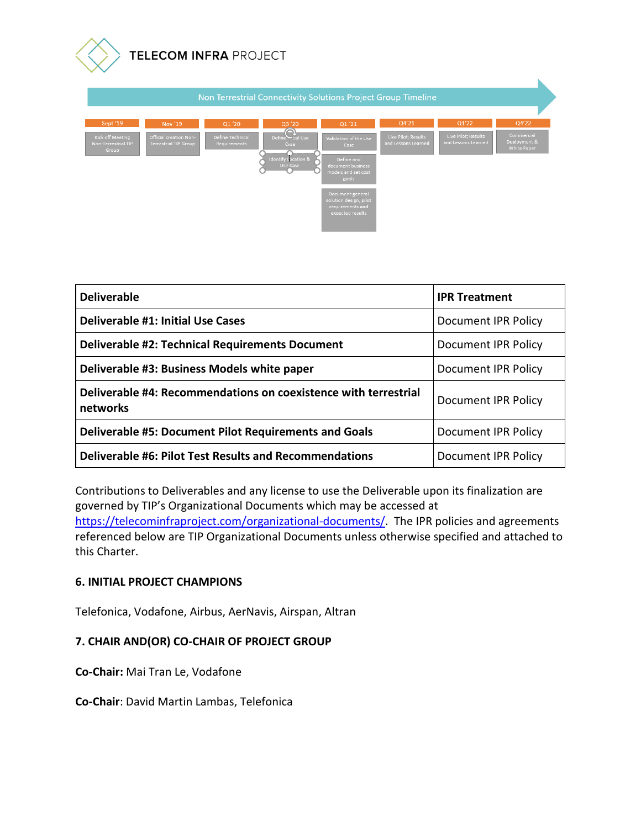

| Non Terrestrial Connectivity Solutions Project Group Timeline |                                                        |                                         |                                                                        |                                                                                                  |                                            |                                            |                                                  |  |
|---------------------------------------------------------------|--------------------------------------------------------|-----------------------------------------|------------------------------------------------------------------------|--------------------------------------------------------------------------------------------------|--------------------------------------------|--------------------------------------------|--------------------------------------------------|--|
| Sept '19                                                      | Nov '19                                                | Q1 '20                                  | Q3 '20                                                                 | Q1'21                                                                                            | Q4'21                                      | Q1'22                                      | Q4'22                                            |  |
| Kick off Meeting<br><b>Non-Terrestrial TIP</b><br>Group       | Official creation Non-<br><b>Terrestrial TIP Group</b> | <b>Define Technical</b><br>Requirements | Define Chall Use<br>Case<br><b>Identify Location &amp;</b><br>Use Case | Validation of the Use<br>Case<br>Define and<br>document business<br>models and set cost<br>goals | Live Pilot; Results<br>and Lessons Learned | Live Pilot; Results<br>and Lessons Learned | Commercial<br>Deployment &<br><b>White Paper</b> |  |
|                                                               |                                                        |                                         |                                                                        | Document general<br>solution design, pilot<br>requirements and<br>expected results               |                                            |                                            |                                                  |  |

| <b>Deliverable</b>                                                          | <b>IPR Treatment</b>       |  |  |
|-----------------------------------------------------------------------------|----------------------------|--|--|
| <b>Deliverable #1: Initial Use Cases</b>                                    | <b>Document IPR Policy</b> |  |  |
| <b>Deliverable #2: Technical Requirements Document</b>                      | <b>Document IPR Policy</b> |  |  |
| Deliverable #3: Business Models white paper                                 | <b>Document IPR Policy</b> |  |  |
| Deliverable #4: Recommendations on coexistence with terrestrial<br>networks | <b>Document IPR Policy</b> |  |  |
| <b>Deliverable #5: Document Pilot Requirements and Goals</b>                | <b>Document IPR Policy</b> |  |  |
| <b>Deliverable #6: Pilot Test Results and Recommendations</b>               | <b>Document IPR Policy</b> |  |  |

Contributions to Deliverables and any license to use the Deliverable upon its finalization are governed by TIP's Organizational Documents which may be accessed at [https://telecominfraproject.com/organizational-documents/.](https://telecominfraproject.com/organizational-documents/) The IPR policies and agreements referenced below are TIP Organizational Documents unless otherwise specified and attached to this Charter.

#### **6. INITIAL PROJECT CHAMPIONS**

Telefonica, Vodafone, Airbus, AerNavis, Airspan, Altran

#### **7. CHAIR AND(OR) CO-CHAIR OF PROJECT GROUP**

**Co-Chair:** Mai Tran Le, Vodafone

**Co-Chair**: David Martin Lambas, Telefonica